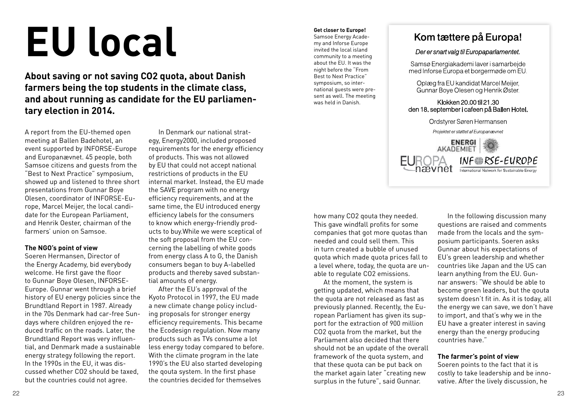# **EU local**

**About saving or not saving CO2 quota, about Danish farmers being the top students in the climate class, and about running as candidate for the EU parliamentary election in 2014.**

A report from the EU-themed open meeting at Ballen Badehotel, an event supported by INFORSE-Europe and Europanævnet. 45 people, both Samsoe citizens and guests from the "Best to Next Practice" symposium, showed up and listened to three short presentations from Gunnar Boye Olesen, coordinator of INFORSE-Europe, Marcel Meijer, the local candidate for the European Parliament, and Henrik Oester, chairman of the farmers' union on Samsoe.

### **The NGO's point of view**

Soeren Hermansen, Director of the Energy Academy, bid everybody welcome. He first gave the floor to Gunnar Boye Olesen, INFORSE-Europe. Gunnar went through a brief history of EU energy policies since the Brundtland Report in 1987. Already in the 70s Denmark had car-free Sundays where children enjoyed the reduced traffic on the roads. Later, the Brundtland Report was very influential, and Denmark made a sustainable energy strategy following the report. In the 1990s in the EU, it was discussed whether CO2 should be taxed, but the countries could not agree.

In Denmark our national strategy, Energy2000, included proposed requirements for the energy efficiency of products. This was not allowed by EU that could not accept national restrictions of products in the EU internal market. Instead, the EU made the SAVE program with no energy efficiency requirements, and at the same time, the EU introduced energy efficiency labels for the consumers to know which energy-friendly products to buy.While we were sceptical of the soft proposal from the EU concerning the labelling of white goods from energy class A to G, the Danish consumers began to buy A-labelled products and thereby saved substantial amounts of energy.

After the EU's approval of the Kyoto Protocol in 1997, the EU made a new climate change policy including proposals for stronger energy efficiency requirements. This became the Ecodesign regulation. Now many products such as TVs consume a lot less energy today compared to before. With the climate program in the late 1990's the EU also started developing the qouta system. In the first phase the countries decided for themselves

### **Get closer to Europe!** Samsoe Energy Academy and Inforse Europe invited the local island community to a meeting about the EU. It was the night before the "From Best to Next Practice" symposium, so international guests were present as well. The meeting

was held in Danish.



# Der er snart valg til Europaparlamentet.

Samsø Energiakademi laver i samarbeide med Inforse Europa et borgermøde om EU.

Oplæg fra EU kandidat Marcel Meijer. Gunnar Boye Olesen og Henrik Øster

### Klokken 20.00 til 21.30 den 18. september i cafeen på Ballen Hotel.



how many CO2 qouta they needed. This gave windfall profits for some companies that got more quotas than needed and could sell them. This in turn created a bubble of unused quota which made quota prices fall to a level where, today, the quota are unable to regulate CO2 emissions.

At the moment, the system is getting updated, which means that the quota are not released as fast as previously planned. Recently, the European Parliament has given its support for the extraction of 900 million CO2 quota from the market, but the Parliament also decided that there should not be an update of the overall framework of the quota system, and that these quota can be put back on the market again later "creating new surplus in the future", said Gunnar.

In the following discussion many questions are raised and comments made from the locals and the symposium participants. Soeren asks Gunnar about his expectations of EU's green leadership and whether countries like Japan and the US can learn anything from the EU. Gunnar answers: "We should be able to become green leaders, but the qouta system doesn't fit in. As it is today, all the energy we can save, we don't have to import, and that's why we in the EU have a greater interest in saving energy than the energy producing countries have."

### **The farmer's point of view**

Soeren points to the fact that it is costly to take leadership and be innovative. After the lively discussion, he